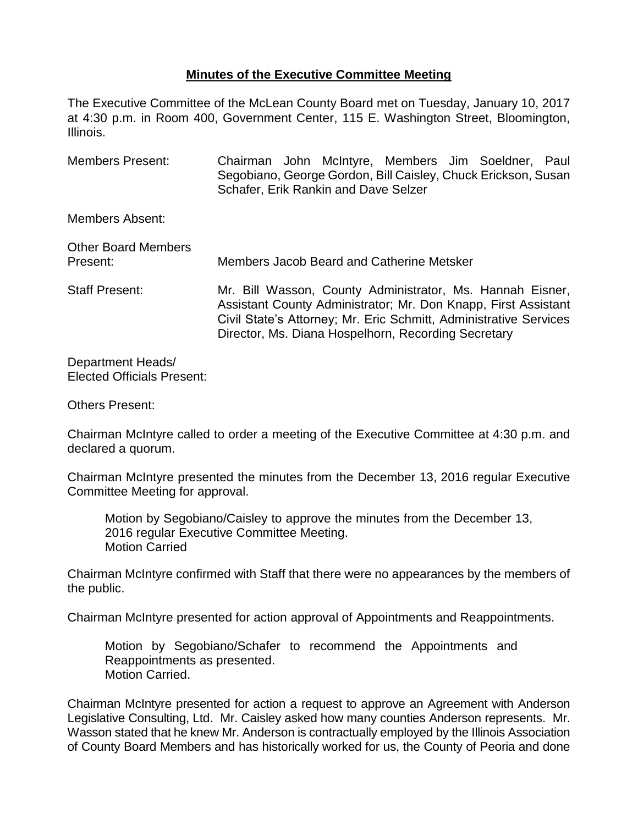## **Minutes of the Executive Committee Meeting**

The Executive Committee of the McLean County Board met on Tuesday, January 10, 2017 at 4:30 p.m. in Room 400, Government Center, 115 E. Washington Street, Bloomington, Illinois.

Members Present: Chairman John McIntyre, Members Jim Soeldner, Paul Segobiano, George Gordon, Bill Caisley, Chuck Erickson, Susan Schafer, Erik Rankin and Dave Selzer

Members Absent:

| <b>Other Board Members</b><br>Present: | Members Jacob Beard and Catherine Metsker                                                                                                                                                                                                               |  |  |
|----------------------------------------|---------------------------------------------------------------------------------------------------------------------------------------------------------------------------------------------------------------------------------------------------------|--|--|
| <b>Staff Present:</b>                  | Mr. Bill Wasson, County Administrator, Ms. Hannah Eisner,<br>Assistant County Administrator; Mr. Don Knapp, First Assistant<br>Civil State's Attorney; Mr. Eric Schmitt, Administrative Services<br>Director, Ms. Diana Hospelhorn, Recording Secretary |  |  |

Department Heads/ Elected Officials Present:

Others Present:

Chairman McIntyre called to order a meeting of the Executive Committee at 4:30 p.m. and declared a quorum.

Chairman McIntyre presented the minutes from the December 13, 2016 regular Executive Committee Meeting for approval.

Motion by Segobiano/Caisley to approve the minutes from the December 13, 2016 regular Executive Committee Meeting. Motion Carried

Chairman McIntyre confirmed with Staff that there were no appearances by the members of the public.

Chairman McIntyre presented for action approval of Appointments and Reappointments.

Motion by Segobiano/Schafer to recommend the Appointments and Reappointments as presented. Motion Carried.

Chairman McIntyre presented for action a request to approve an Agreement with Anderson Legislative Consulting, Ltd. Mr. Caisley asked how many counties Anderson represents. Mr. Wasson stated that he knew Mr. Anderson is contractually employed by the Illinois Association of County Board Members and has historically worked for us, the County of Peoria and done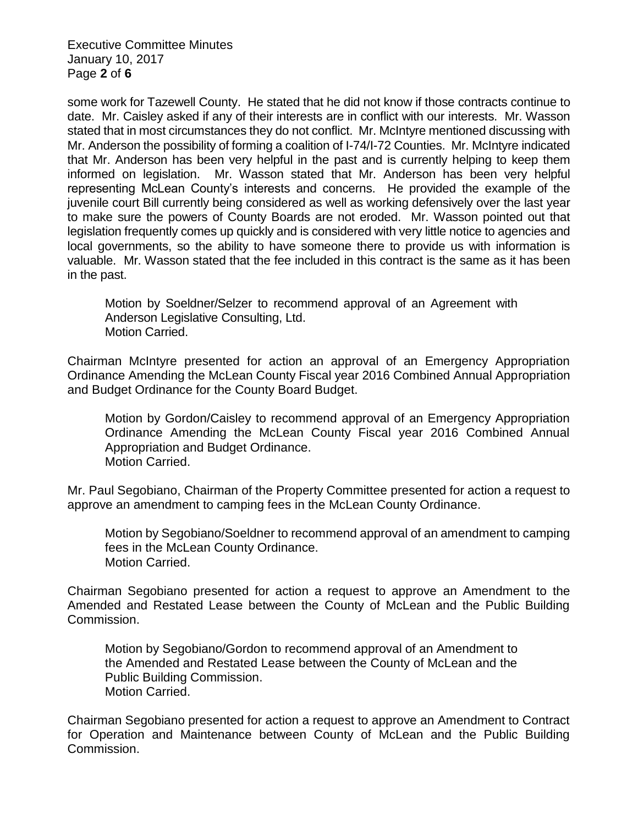Executive Committee Minutes January 10, 2017 Page **2** of **6**

some work for Tazewell County. He stated that he did not know if those contracts continue to date. Mr. Caisley asked if any of their interests are in conflict with our interests. Mr. Wasson stated that in most circumstances they do not conflict. Mr. McIntyre mentioned discussing with Mr. Anderson the possibility of forming a coalition of I-74/I-72 Counties. Mr. McIntyre indicated that Mr. Anderson has been very helpful in the past and is currently helping to keep them informed on legislation. Mr. Wasson stated that Mr. Anderson has been very helpful representing McLean County's interests and concerns. He provided the example of the juvenile court Bill currently being considered as well as working defensively over the last year to make sure the powers of County Boards are not eroded. Mr. Wasson pointed out that legislation frequently comes up quickly and is considered with very little notice to agencies and local governments, so the ability to have someone there to provide us with information is valuable. Mr. Wasson stated that the fee included in this contract is the same as it has been in the past.

Motion by Soeldner/Selzer to recommend approval of an Agreement with Anderson Legislative Consulting, Ltd. Motion Carried.

Chairman McIntyre presented for action an approval of an Emergency Appropriation Ordinance Amending the McLean County Fiscal year 2016 Combined Annual Appropriation and Budget Ordinance for the County Board Budget.

Motion by Gordon/Caisley to recommend approval of an Emergency Appropriation Ordinance Amending the McLean County Fiscal year 2016 Combined Annual Appropriation and Budget Ordinance. Motion Carried.

Mr. Paul Segobiano, Chairman of the Property Committee presented for action a request to approve an amendment to camping fees in the McLean County Ordinance.

Motion by Segobiano/Soeldner to recommend approval of an amendment to camping fees in the McLean County Ordinance. Motion Carried.

Chairman Segobiano presented for action a request to approve an Amendment to the Amended and Restated Lease between the County of McLean and the Public Building Commission.

Motion by Segobiano/Gordon to recommend approval of an Amendment to the Amended and Restated Lease between the County of McLean and the Public Building Commission. Motion Carried.

Chairman Segobiano presented for action a request to approve an Amendment to Contract for Operation and Maintenance between County of McLean and the Public Building Commission.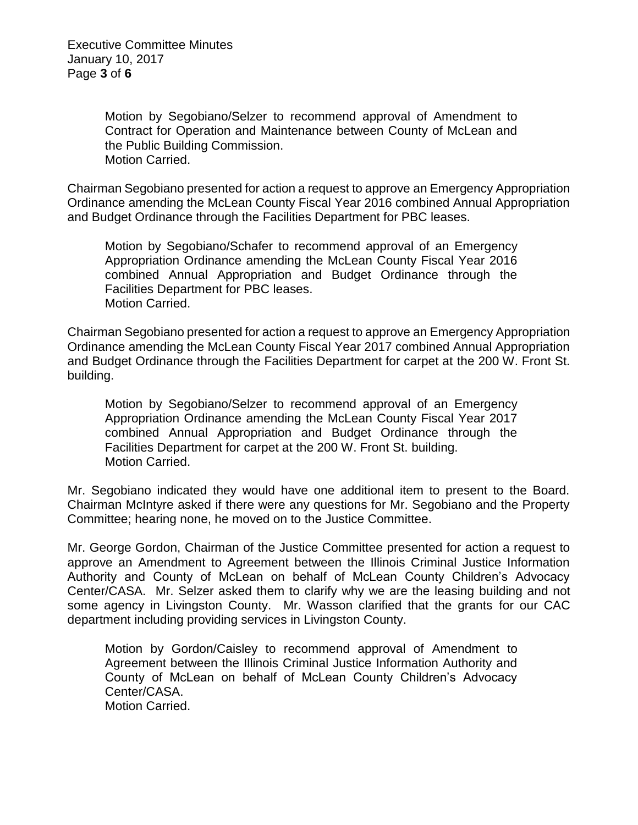Executive Committee Minutes January 10, 2017 Page **3** of **6**

> Motion by Segobiano/Selzer to recommend approval of Amendment to Contract for Operation and Maintenance between County of McLean and the Public Building Commission. Motion Carried.

Chairman Segobiano presented for action a request to approve an Emergency Appropriation Ordinance amending the McLean County Fiscal Year 2016 combined Annual Appropriation and Budget Ordinance through the Facilities Department for PBC leases.

Motion by Segobiano/Schafer to recommend approval of an Emergency Appropriation Ordinance amending the McLean County Fiscal Year 2016 combined Annual Appropriation and Budget Ordinance through the Facilities Department for PBC leases. Motion Carried.

Chairman Segobiano presented for action a request to approve an Emergency Appropriation Ordinance amending the McLean County Fiscal Year 2017 combined Annual Appropriation and Budget Ordinance through the Facilities Department for carpet at the 200 W. Front St. building.

Motion by Segobiano/Selzer to recommend approval of an Emergency Appropriation Ordinance amending the McLean County Fiscal Year 2017 combined Annual Appropriation and Budget Ordinance through the Facilities Department for carpet at the 200 W. Front St. building. Motion Carried.

Mr. Segobiano indicated they would have one additional item to present to the Board. Chairman McIntyre asked if there were any questions for Mr. Segobiano and the Property Committee; hearing none, he moved on to the Justice Committee.

Mr. George Gordon, Chairman of the Justice Committee presented for action a request to approve an Amendment to Agreement between the Illinois Criminal Justice Information Authority and County of McLean on behalf of McLean County Children's Advocacy Center/CASA. Mr. Selzer asked them to clarify why we are the leasing building and not some agency in Livingston County. Mr. Wasson clarified that the grants for our CAC department including providing services in Livingston County.

Motion by Gordon/Caisley to recommend approval of Amendment to Agreement between the Illinois Criminal Justice Information Authority and County of McLean on behalf of McLean County Children's Advocacy Center/CASA. Motion Carried.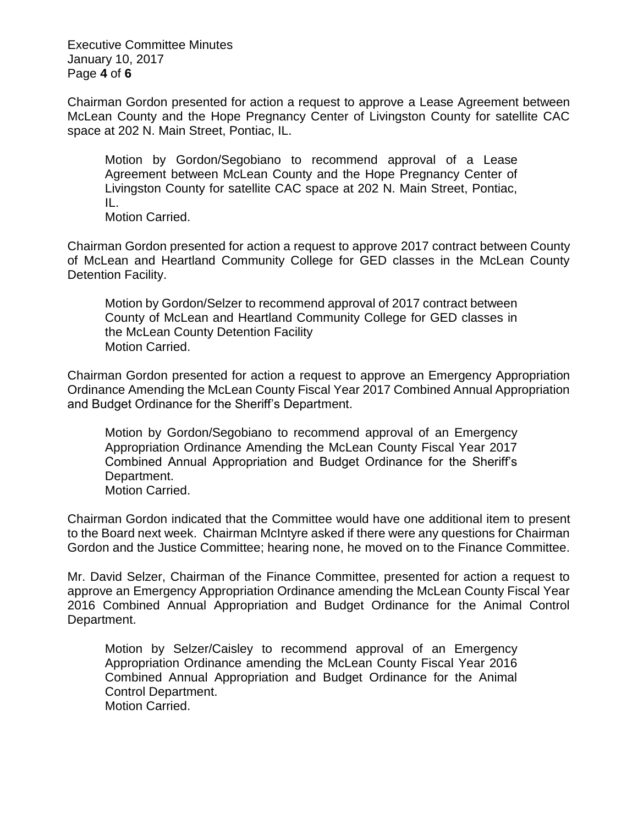Executive Committee Minutes January 10, 2017 Page **4** of **6**

Chairman Gordon presented for action a request to approve a Lease Agreement between McLean County and the Hope Pregnancy Center of Livingston County for satellite CAC space at 202 N. Main Street, Pontiac, IL.

Motion by Gordon/Segobiano to recommend approval of a Lease Agreement between McLean County and the Hope Pregnancy Center of Livingston County for satellite CAC space at 202 N. Main Street, Pontiac, IL.

Motion Carried.

Chairman Gordon presented for action a request to approve 2017 contract between County of McLean and Heartland Community College for GED classes in the McLean County Detention Facility.

Motion by Gordon/Selzer to recommend approval of 2017 contract between County of McLean and Heartland Community College for GED classes in the McLean County Detention Facility Motion Carried.

Chairman Gordon presented for action a request to approve an Emergency Appropriation Ordinance Amending the McLean County Fiscal Year 2017 Combined Annual Appropriation and Budget Ordinance for the Sheriff's Department.

Motion by Gordon/Segobiano to recommend approval of an Emergency Appropriation Ordinance Amending the McLean County Fiscal Year 2017 Combined Annual Appropriation and Budget Ordinance for the Sheriff's Department.

Motion Carried.

Chairman Gordon indicated that the Committee would have one additional item to present to the Board next week. Chairman McIntyre asked if there were any questions for Chairman Gordon and the Justice Committee; hearing none, he moved on to the Finance Committee.

Mr. David Selzer, Chairman of the Finance Committee, presented for action a request to approve an Emergency Appropriation Ordinance amending the McLean County Fiscal Year 2016 Combined Annual Appropriation and Budget Ordinance for the Animal Control Department.

Motion by Selzer/Caisley to recommend approval of an Emergency Appropriation Ordinance amending the McLean County Fiscal Year 2016 Combined Annual Appropriation and Budget Ordinance for the Animal Control Department. Motion Carried.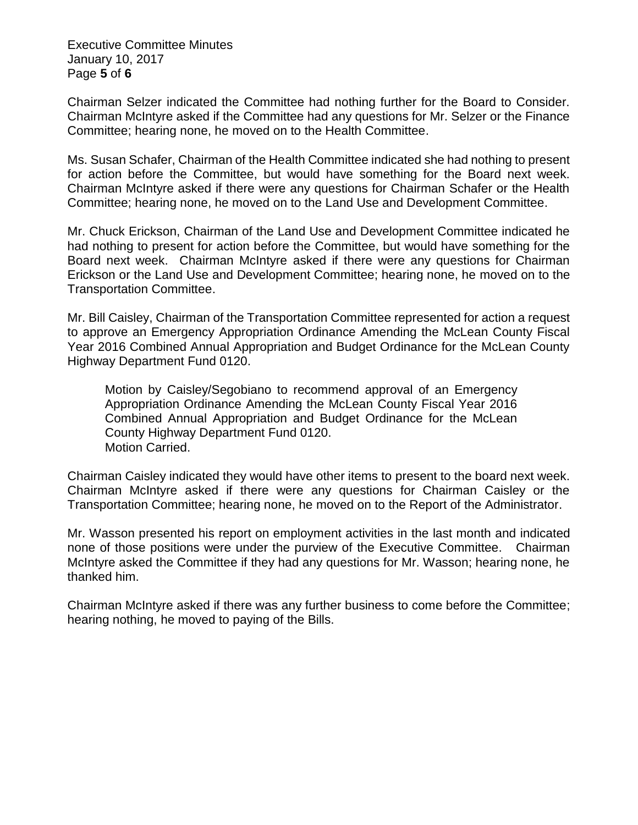Executive Committee Minutes January 10, 2017 Page **5** of **6**

Chairman Selzer indicated the Committee had nothing further for the Board to Consider. Chairman McIntyre asked if the Committee had any questions for Mr. Selzer or the Finance Committee; hearing none, he moved on to the Health Committee.

Ms. Susan Schafer, Chairman of the Health Committee indicated she had nothing to present for action before the Committee, but would have something for the Board next week. Chairman McIntyre asked if there were any questions for Chairman Schafer or the Health Committee; hearing none, he moved on to the Land Use and Development Committee.

Mr. Chuck Erickson, Chairman of the Land Use and Development Committee indicated he had nothing to present for action before the Committee, but would have something for the Board next week. Chairman McIntyre asked if there were any questions for Chairman Erickson or the Land Use and Development Committee; hearing none, he moved on to the Transportation Committee.

Mr. Bill Caisley, Chairman of the Transportation Committee represented for action a request to approve an Emergency Appropriation Ordinance Amending the McLean County Fiscal Year 2016 Combined Annual Appropriation and Budget Ordinance for the McLean County Highway Department Fund 0120.

Motion by Caisley/Segobiano to recommend approval of an Emergency Appropriation Ordinance Amending the McLean County Fiscal Year 2016 Combined Annual Appropriation and Budget Ordinance for the McLean County Highway Department Fund 0120. Motion Carried.

Chairman Caisley indicated they would have other items to present to the board next week. Chairman McIntyre asked if there were any questions for Chairman Caisley or the Transportation Committee; hearing none, he moved on to the Report of the Administrator.

Mr. Wasson presented his report on employment activities in the last month and indicated none of those positions were under the purview of the Executive Committee. Chairman McIntyre asked the Committee if they had any questions for Mr. Wasson; hearing none, he thanked him.

Chairman McIntyre asked if there was any further business to come before the Committee; hearing nothing, he moved to paying of the Bills.